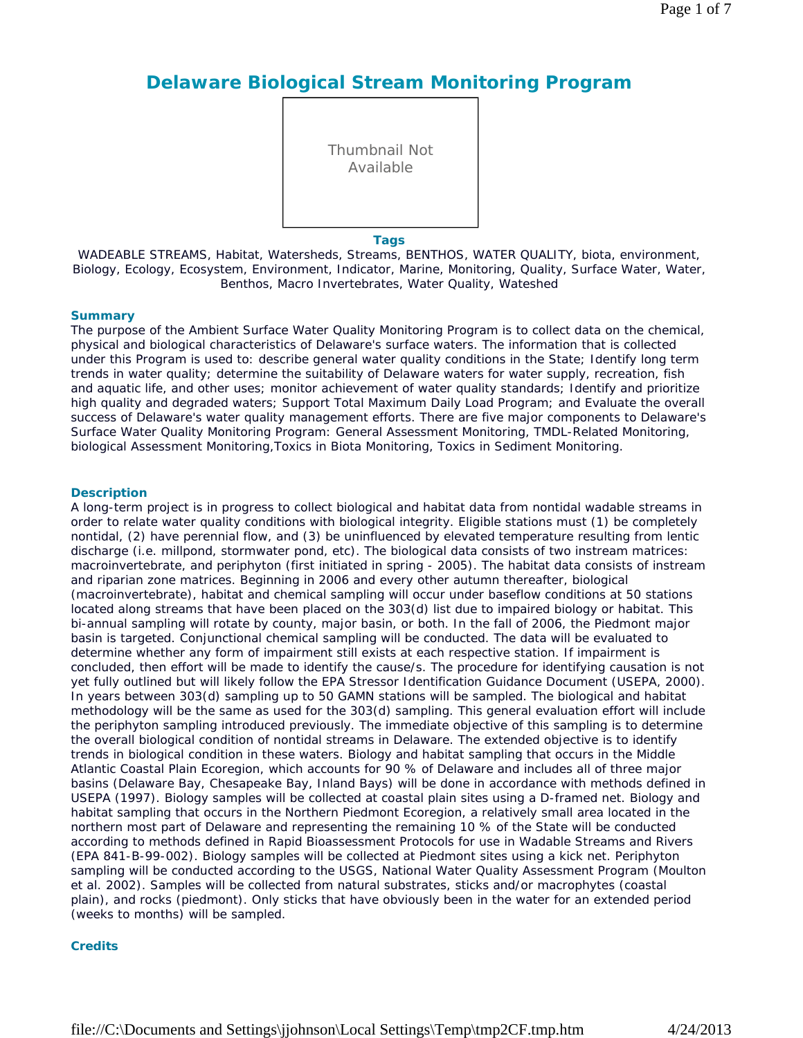# **Delaware Biological Stream Monitoring Program**

Thumbnail Not Available

**Tags**

WADEABLE STREAMS, Habitat, Watersheds, Streams, BENTHOS, WATER QUALITY, biota, environment, Biology, Ecology, Ecosystem, Environment, Indicator, Marine, Monitoring, Quality, Surface Water, Water, Benthos, Macro Invertebrates, Water Quality, Wateshed

### **Summary**

The purpose of the Ambient Surface Water Quality Monitoring Program is to collect data on the chemical, physical and biological characteristics of Delaware's surface waters. The information that is collected under this Program is used to: describe general water quality conditions in the State; Identify long term trends in water quality; determine the suitability of Delaware waters for water supply, recreation, fish and aquatic life, and other uses; monitor achievement of water quality standards; Identify and prioritize high quality and degraded waters; Support Total Maximum Daily Load Program; and Evaluate the overall success of Delaware's water quality management efforts. There are five major components to Delaware's Surface Water Quality Monitoring Program: General Assessment Monitoring, TMDL-Related Monitoring, biological Assessment Monitoring,Toxics in Biota Monitoring, Toxics in Sediment Monitoring.

#### **Description**

A long-term project is in progress to collect biological and habitat data from nontidal wadable streams in order to relate water quality conditions with biological integrity. Eligible stations must (1) be completely nontidal, (2) have perennial flow, and (3) be uninfluenced by elevated temperature resulting from lentic discharge (i.e. millpond, stormwater pond, etc). The biological data consists of two instream matrices: macroinvertebrate, and periphyton (first initiated in spring - 2005). The habitat data consists of instream and riparian zone matrices. Beginning in 2006 and every other autumn thereafter, biological (macroinvertebrate), habitat and chemical sampling will occur under baseflow conditions at 50 stations located along streams that have been placed on the 303(d) list due to impaired biology or habitat. This bi-annual sampling will rotate by county, major basin, or both. In the fall of 2006, the Piedmont major basin is targeted. Conjunctional chemical sampling will be conducted. The data will be evaluated to determine whether any form of impairment still exists at each respective station. If impairment is concluded, then effort will be made to identify the cause/s. The procedure for identifying causation is not yet fully outlined but will likely follow the EPA Stressor Identification Guidance Document (USEPA, 2000). In years between 303(d) sampling up to 50 GAMN stations will be sampled. The biological and habitat methodology will be the same as used for the 303(d) sampling. This general evaluation effort will include the periphyton sampling introduced previously. The immediate objective of this sampling is to determine the overall biological condition of nontidal streams in Delaware. The extended objective is to identify trends in biological condition in these waters. Biology and habitat sampling that occurs in the Middle Atlantic Coastal Plain Ecoregion, which accounts for 90 % of Delaware and includes all of three major basins (Delaware Bay, Chesapeake Bay, Inland Bays) will be done in accordance with methods defined in USEPA (1997). Biology samples will be collected at coastal plain sites using a D-framed net. Biology and habitat sampling that occurs in the Northern Piedmont Ecoregion, a relatively small area located in the northern most part of Delaware and representing the remaining 10 % of the State will be conducted according to methods defined in Rapid Bioassessment Protocols for use in Wadable Streams and Rivers (EPA 841-B-99-002). Biology samples will be collected at Piedmont sites using a kick net. Periphyton sampling will be conducted according to the USGS, National Water Quality Assessment Program (Moulton et al. 2002). Samples will be collected from natural substrates, sticks and/or macrophytes (coastal plain), and rocks (piedmont). Only sticks that have obviously been in the water for an extended period (weeks to months) will be sampled.

### **Credits**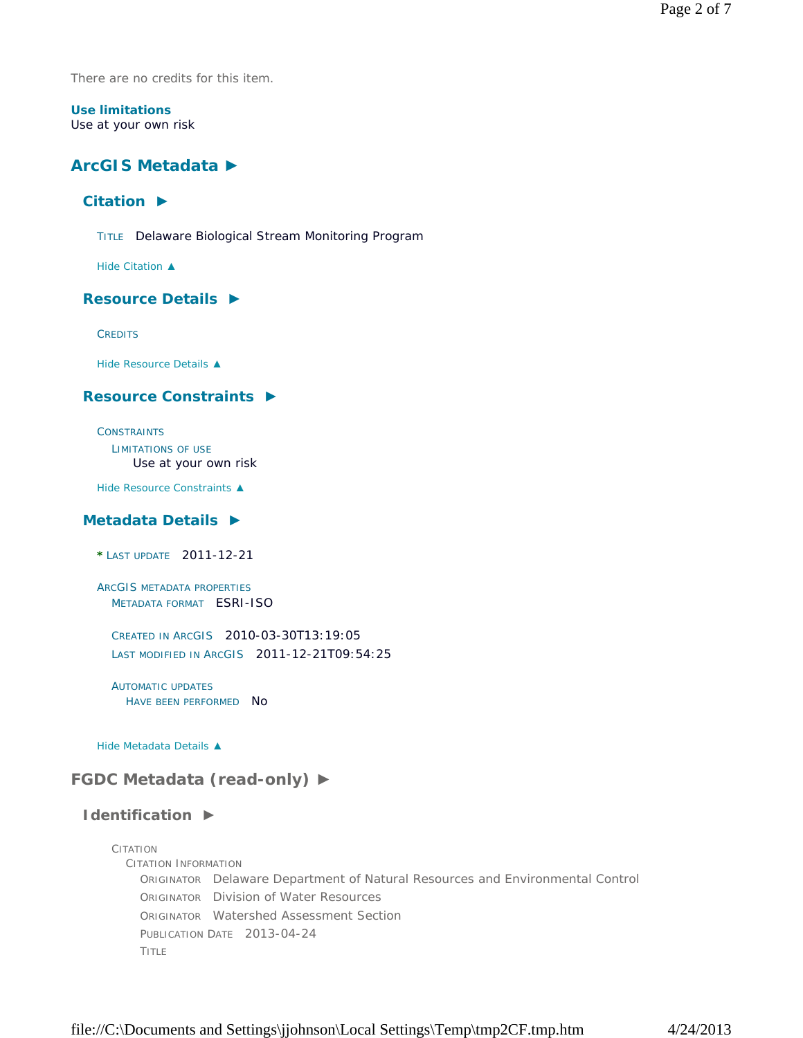There are no credits for this item.

### **Use limitations** Use at your own risk

# **ArcGIS Metadata ►**

### **Citation ►**

TITLE Delaware Biological Stream Monitoring Program

*Hide Citation ▲*

### **Resource Details ►**

**CREDITS** 

*Hide Resource Details ▲*

# **Resource Constraints ►**

**CONSTRAINTS** LIMITATIONS OF USE Use at your own risk

*Hide Resource Constraints ▲*

### **Metadata Details ►**

**\*** LAST UPDATE 2011-12-21

ARCGIS METADATA PROPERTIES METADATA FORMAT ESRI-ISO

CREATED IN ARCGIS 2010-03-30T13:19:05 LAST MODIFIED IN ARCGIS 2011-12-21T09:54:25

AUTOMATIC UPDATES HAVE BEEN PERFORMED NO

*Hide Metadata Details ▲*

# **FGDC Metadata (read-only) ►**

### **Identification ►**

CITATION CITATION INFORMATION ORIGINATOR Delaware Department of Natural Resources and Environmental Control ORIGINATOR Division of Water Resources ORIGINATOR Watershed Assessment Section PUBLICATION DATE 2013-04-24 TITLE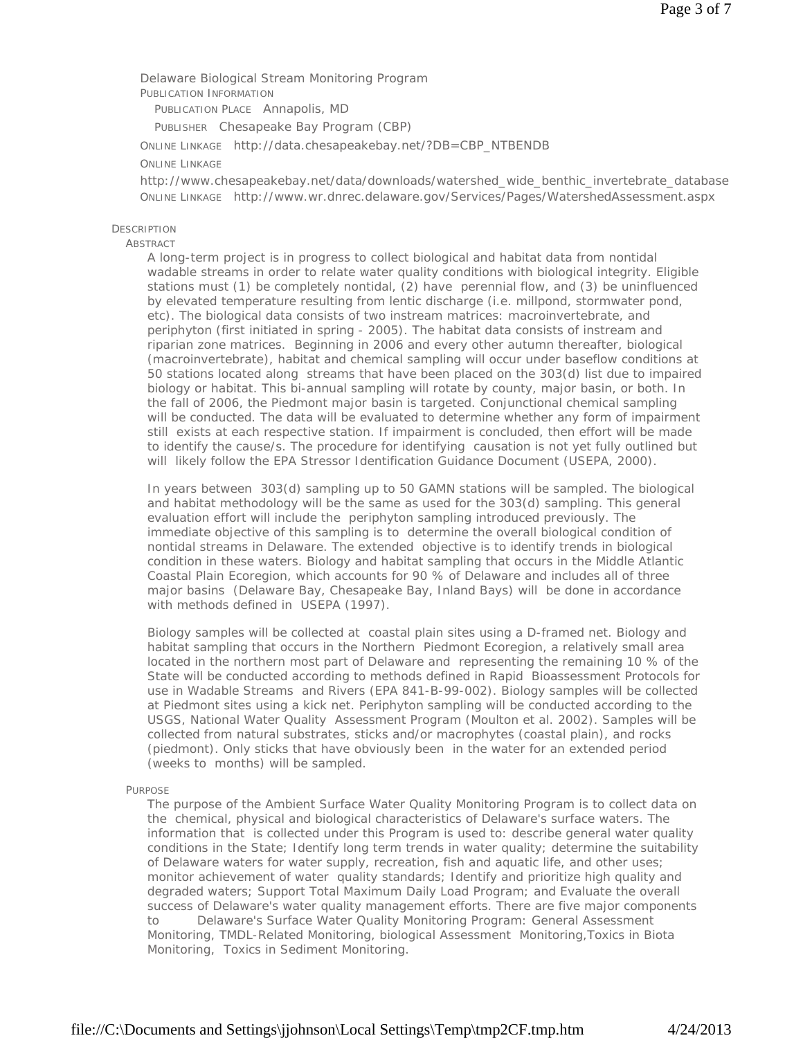Delaware Biological Stream Monitoring Program PUBLICATION INFORMATION

PUBLICATION PLACE Annapolis, MD

PUBLISHER Chesapeake Bay Program (CBP)

ONLINE LINKAGE http://data.chesapeakebay.net/?DB=CBP\_NTBENDB

### ONLINE LINKAGE

http://www.chesapeakebay.net/data/downloads/watershed\_wide\_benthic\_invertebrate\_database ONLINE LINKAGE http://www.wr.dnrec.delaware.gov/Services/Pages/WatershedAssessment.aspx

### **DESCRIPTION**

### ABSTRACT

A long-term project is in progress to collect biological and habitat data from nontidal wadable streams in order to relate water quality conditions with biological integrity. Eligible stations must (1) be completely nontidal, (2) have perennial flow, and (3) be uninfluenced by elevated temperature resulting from lentic discharge (i.e. millpond, stormwater pond, etc). The biological data consists of two instream matrices: macroinvertebrate, and periphyton (first initiated in spring - 2005). The habitat data consists of instream and riparian zone matrices. Beginning in 2006 and every other autumn thereafter, biological (macroinvertebrate), habitat and chemical sampling will occur under baseflow conditions at 50 stations located along streams that have been placed on the 303(d) list due to impaired biology or habitat. This bi-annual sampling will rotate by county, major basin, or both. In the fall of 2006, the Piedmont major basin is targeted. Conjunctional chemical sampling will be conducted. The data will be evaluated to determine whether any form of impairment still exists at each respective station. If impairment is concluded, then effort will be made to identify the cause/s. The procedure for identifying causation is not yet fully outlined but will likely follow the EPA Stressor Identification Guidance Document (USEPA, 2000).

In years between 303(d) sampling up to 50 GAMN stations will be sampled. The biological and habitat methodology will be the same as used for the 303(d) sampling. This general evaluation effort will include the periphyton sampling introduced previously. The immediate objective of this sampling is to determine the overall biological condition of nontidal streams in Delaware. The extended objective is to identify trends in biological condition in these waters. Biology and habitat sampling that occurs in the Middle Atlantic Coastal Plain Ecoregion, which accounts for 90 % of Delaware and includes all of three major basins (Delaware Bay, Chesapeake Bay, Inland Bays) will be done in accordance with methods defined in USEPA (1997).

Biology samples will be collected at coastal plain sites using a D-framed net. Biology and habitat sampling that occurs in the Northern Piedmont Ecoregion, a relatively small area located in the northern most part of Delaware and representing the remaining 10 % of the State will be conducted according to methods defined in Rapid Bioassessment Protocols for use in Wadable Streams and Rivers (EPA 841-B-99-002). Biology samples will be collected at Piedmont sites using a kick net. Periphyton sampling will be conducted according to the USGS, National Water Quality Assessment Program (Moulton et al. 2002). Samples will be collected from natural substrates, sticks and/or macrophytes (coastal plain), and rocks (piedmont). Only sticks that have obviously been in the water for an extended period (weeks to months) will be sampled.

#### PURPOSE

The purpose of the Ambient Surface Water Quality Monitoring Program is to collect data on the chemical, physical and biological characteristics of Delaware's surface waters. The information that is collected under this Program is used to: describe general water quality conditions in the State; Identify long term trends in water quality; determine the suitability of Delaware waters for water supply, recreation, fish and aquatic life, and other uses; monitor achievement of water quality standards; Identify and prioritize high quality and degraded waters; Support Total Maximum Daily Load Program; and Evaluate the overall success of Delaware's water quality management efforts. There are five major components to Delaware's Surface Water Quality Monitoring Program: General Assessment Monitoring, TMDL-Related Monitoring, biological Assessment Monitoring,Toxics in Biota Monitoring, Toxics in Sediment Monitoring.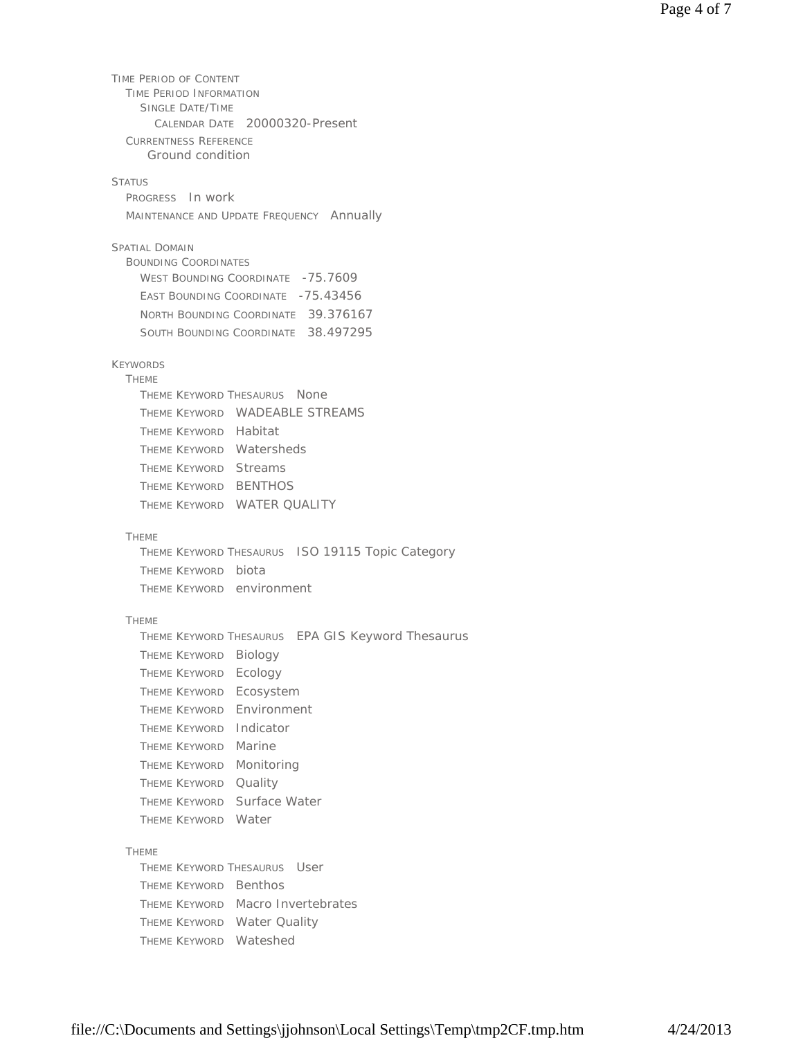TIME PERIOD OF CONTENT TIME PERIOD INFORMATION SINGLE DATE/TIME CALENDAR DATE 20000320-Present CURRENTNESS REFERENCE STATUS PROGRESS In work MAINTENANCE AND UPDATE FREQUENCY Annually SPATIAL DOMAIN BOUNDING COORDINATES WEST BOUNDING COORDINATE -75.7609 EAST BOUNDING COORDINATE -75.43456 NORTH BOUNDING COORDINATE 39.376167 SOUTH BOUNDING COORDINATE 38.497295 KEYWORDS **THEME** THEME KEYWORD THESAURUS None THEME KEYWORD WADEABLE STREAMS THEME KEYWORD Habitat THEME KEYWORD Watersheds THEME KEYWORD Streams THEME KEYWORD BENTHOS THEME KEYWORD WATER QUALITY THEME THEME KEYWORD THESAURUS ISO 19115 Topic Category THEME KEYWORD biota THEME KEYWORD environment THEME THEME KEYWORD THESAURUS EPA GIS Keyword Thesaurus THEME KEYWORD Biology THEME KEYWORD Ecology THEME KEYWORD Ecosystem THEME KEYWORD Environment THEME KEYWORD Indicator THEME KEYWORD Marine THEME KEYWORD Monitoring THEME KEYWORD Quality THEME KEYWORD Surface Water THEME KEYWORD Water THEME THEME KEYWORD THESAURUS User THEME KEYWORD Benthos THEME KEYWORD Macro Invertebrates THEME KEYWORD Water Quality THEME KEYWORD Wateshed Ground condition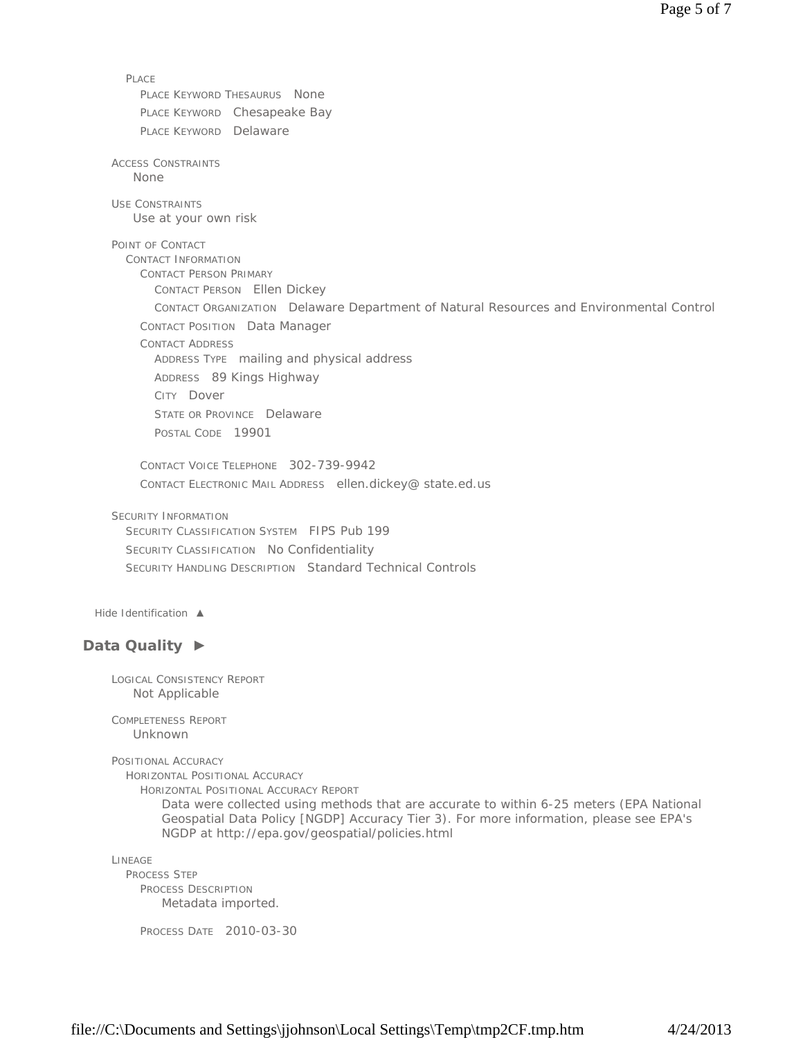PLACE PLACE KEYWORD THESAURUS None PLACE KEYWORD Chesapeake Bay PLACE KEYWORD Delaware ACCESS CONSTRAINTS USE CONSTRAINTS POINT OF CONTACT CONTACT INFORMATION CONTACT PERSON PRIMARY CONTACT PERSON Ellen Dickey CONTACT ORGANIZATION Delaware Department of Natural Resources and Environmental Control CONTACT POSITION Data Manager CONTACT ADDRESS ADDRESS TYPE mailing and physical address ADDRESS 89 Kings Highway CITY Dover STATE OR PROVINCE Delaware POSTAL CODE 19901 CONTACT VOICE TELEPHONE 302-739-9942 CONTACT ELECTRONIC MAIL ADDRESS ellen.dickey@ state.ed.us SECURITY INFORMATION SECURITY CLASSIFICATION SYSTEM FIPS Pub 199 SECURITY CLASSIFICATION No Confidentiality SECURITY HANDLING DESCRIPTION Standard Technical Controls *Hide Identification ▲* **Data Quality ►** LOGICAL CONSISTENCY REPORT COMPLETENESS REPORT POSITIONAL ACCURACY HORIZONTAL POSITIONAL ACCURACY HORIZONTAL POSITIONAL ACCURACY REPORT LINEAGE None Use at your own risk Not Applicable Unknown Data were collected using methods that are accurate to within 6-25 meters (EPA National Geospatial Data Policy [NGDP] Accuracy Tier 3). For more information, please see EPA's NGDP at http://epa.gov/geospatial/policies.html

PROCESS STEP PROCESS DESCRIPTION Metadata imported.

PROCESS DATE 2010-03-30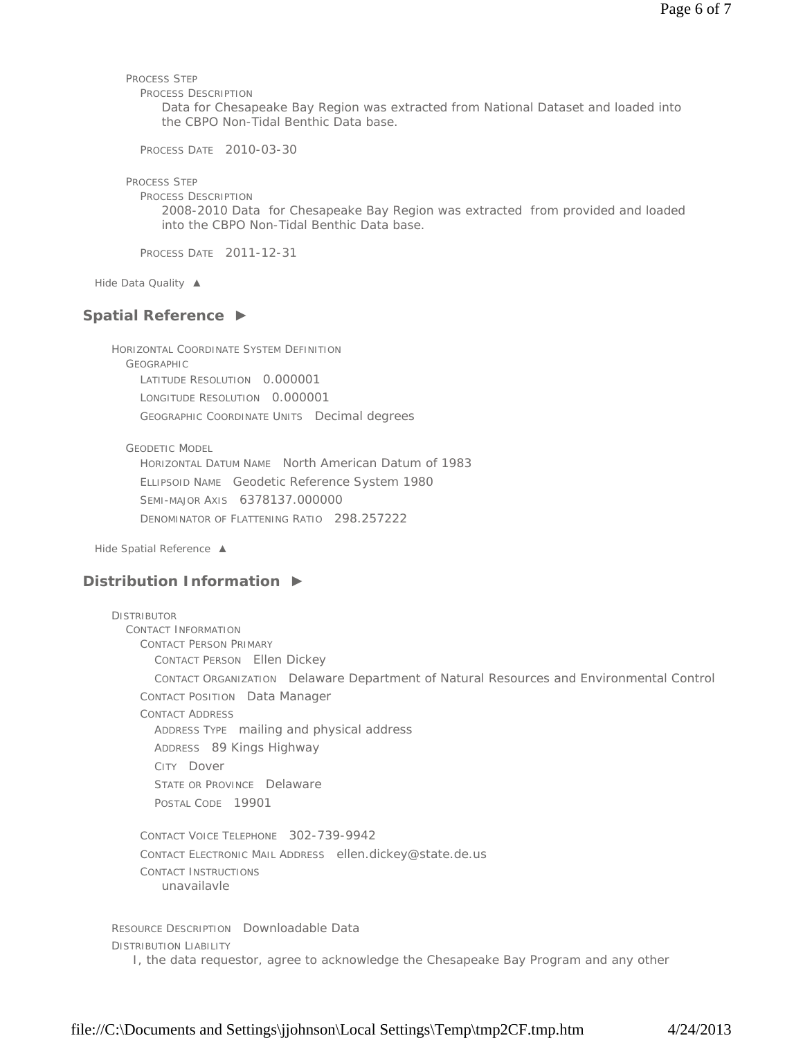PROCESS STEP

PROCESS DESCRIPTION

Data for Chesapeake Bay Region was extracted from National Dataset and loaded into the CBPO Non-Tidal Benthic Data base.

PROCESS DATE 2010-03-30

PROCESS STEP

PROCESS DESCRIPTION

2008-2010 Data for Chesapeake Bay Region was extracted from provided and loaded into the CBPO Non-Tidal Benthic Data base.

PROCESS DATE 2011-12-31

*Hide Data Quality ▲*

### **Spatial Reference ►**

HORIZONTAL COORDINATE SYSTEM DEFINITION GEOGRAPHIC LATITUDE RESOLUTION 0.000001 LONGITUDE RESOLUTION 0.000001 GEOGRAPHIC COORDINATE UNITS Decimal degrees

GEODETIC MODEL

HORIZONTAL DATUM NAME North American Datum of 1983 ELLIPSOID NAME Geodetic Reference System 1980 SEMI-MAJOR AXIS 6378137.000000 DENOMINATOR OF FLATTENING RATIO 298.257222

*Hide Spatial Reference ▲*

### **Distribution Information ►**

DISTRIBUTOR CONTACT INFORMATION CONTACT PERSON PRIMARY CONTACT PERSON Ellen Dickey CONTACT ORGANIZATION Delaware Department of Natural Resources and Environmental Control CONTACT POSITION Data Manager CONTACT ADDRESS ADDRESS TYPE mailing and physical address ADDRESS 89 Kings Highway CITY Dover STATE OR PROVINCE Delaware POSTAL CODE 19901 CONTACT VOICE TELEPHONE 302-739-9942 CONTACT ELECTRONIC MAIL ADDRESS ellen.dickey@state.de.us CONTACT INSTRUCTIONS

unavailavle

RESOURCE DESCRIPTION Downloadable Data DISTRIBUTION LIABILITY I, the data requestor, agree to acknowledge the Chesapeake Bay Program and any other